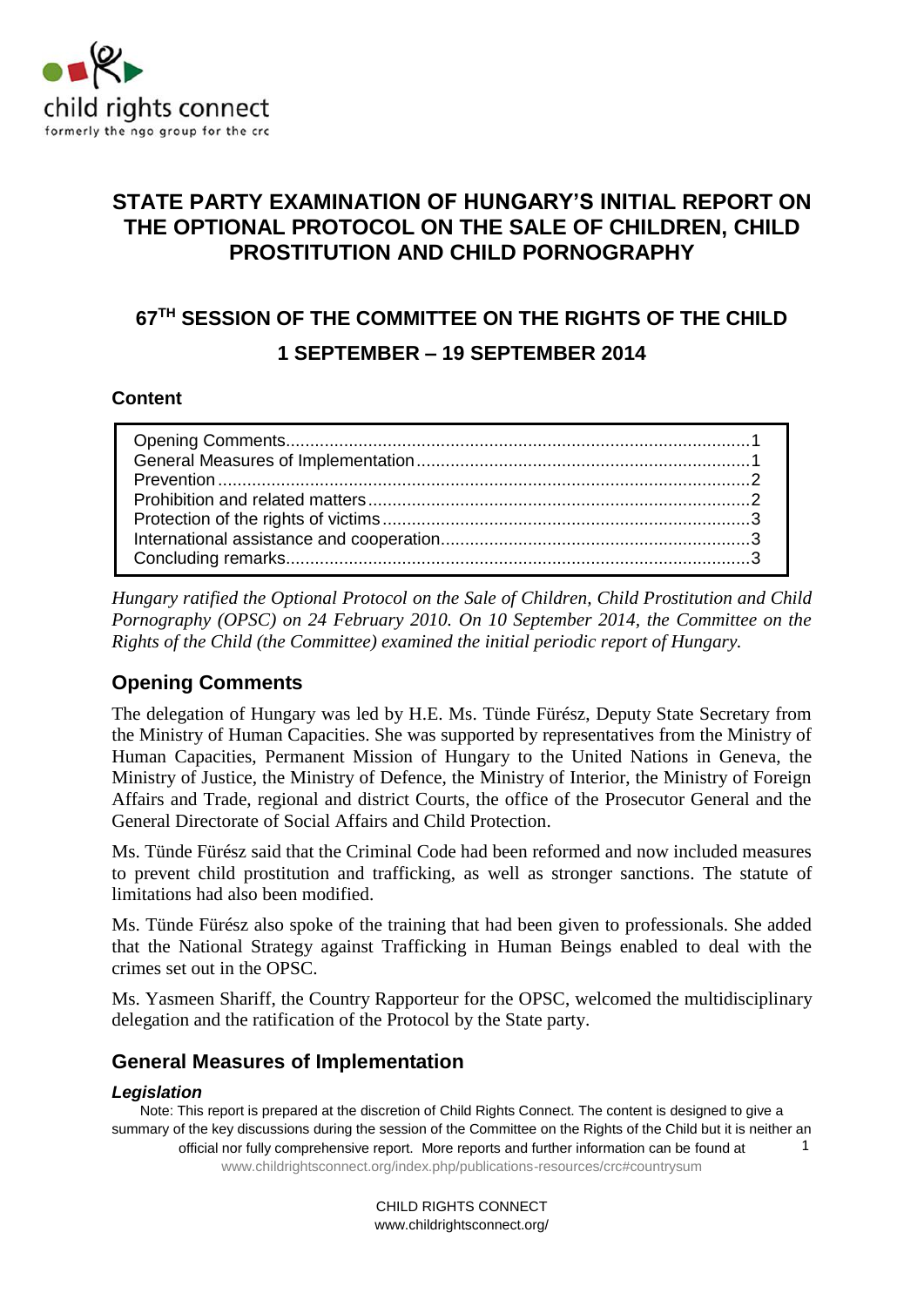

## **STATE PARTY EXAMINATION OF HUNGARY'S INITIAL REPORT ON THE OPTIONAL PROTOCOL ON THE SALE OF CHILDREN, CHILD PROSTITUTION AND CHILD PORNOGRAPHY**

# **67TH SESSION OF THE COMMITTEE ON THE RIGHTS OF THE CHILD 1 SEPTEMBER – 19 SEPTEMBER 2014**

#### **Content**

*Hungary ratified the Optional Protocol on the Sale of Children, Child Prostitution and Child Pornography (OPSC) on 24 February 2010. On 10 September 2014, the Committee on the Rights of the Child (the Committee) examined the initial periodic report of Hungary.* 

## <span id="page-0-0"></span>**Opening Comments**

The delegation of Hungary was led by H.E. Ms. Tünde Fürész, Deputy State Secretary from the Ministry of Human Capacities. She was supported by representatives from the Ministry of Human Capacities, Permanent Mission of Hungary to the United Nations in Geneva, the Ministry of Justice, the Ministry of Defence, the Ministry of Interior, the Ministry of Foreign Affairs and Trade, regional and district Courts, the office of the Prosecutor General and the General Directorate of Social Affairs and Child Protection.

Ms. Tünde Fürész said that the Criminal Code had been reformed and now included measures to prevent child prostitution and trafficking, as well as stronger sanctions. The statute of limitations had also been modified.

Ms. Tünde Fürész also spoke of the training that had been given to professionals. She added that the National Strategy against Trafficking in Human Beings enabled to deal with the crimes set out in the OPSC.

Ms. Yasmeen Shariff, the Country Rapporteur for the OPSC, welcomed the multidisciplinary delegation and the ratification of the Protocol by the State party.

#### <span id="page-0-1"></span>**General Measures of Implementation**

#### *Legislation*

Note: This report is prepared at the discretion of Child Rights Connect. The content is designed to give a summary of the key discussions during the session of the Committee on the Rights of the Child but it is neither an official nor fully comprehensive report. More reports and further information can be found at [www.childrightsconnect.org/index.php/publications-resources/crc#countrysum](http://www.childrightsconnect.org/index.php/publications-resources/crc#countrysum) 1

> CHILD RIGHTS CONNECT www.childrightsconnect.org/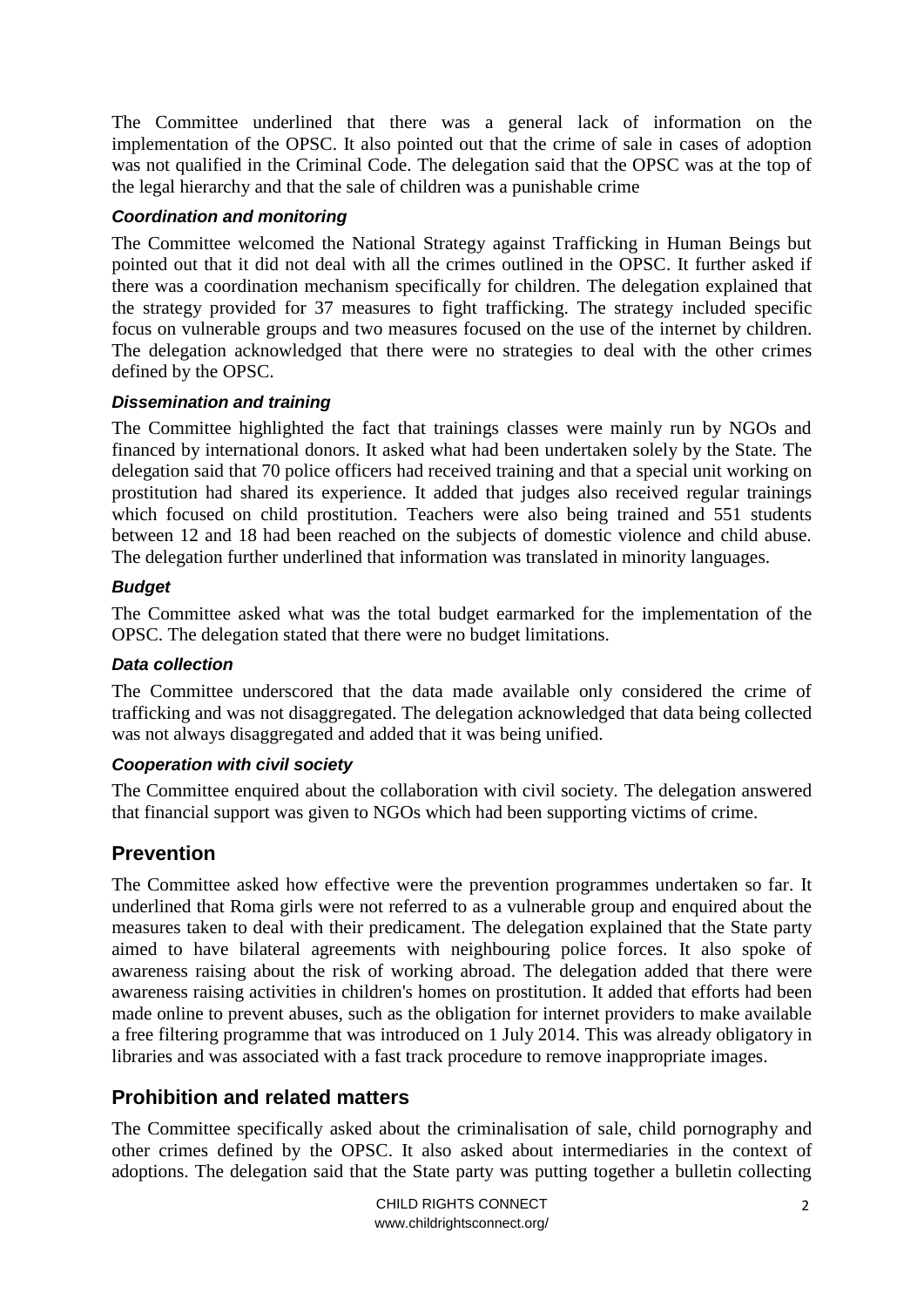The Committee underlined that there was a general lack of information on the implementation of the OPSC. It also pointed out that the crime of sale in cases of adoption was not qualified in the Criminal Code. The delegation said that the OPSC was at the top of the legal hierarchy and that the sale of children was a punishable crime

#### *Coordination and monitoring*

The Committee welcomed the National Strategy against Trafficking in Human Beings but pointed out that it did not deal with all the crimes outlined in the OPSC. It further asked if there was a coordination mechanism specifically for children. The delegation explained that the strategy provided for 37 measures to fight trafficking. The strategy included specific focus on vulnerable groups and two measures focused on the use of the internet by children. The delegation acknowledged that there were no strategies to deal with the other crimes defined by the OPSC.

#### *Dissemination and training*

The Committee highlighted the fact that trainings classes were mainly run by NGOs and financed by international donors. It asked what had been undertaken solely by the State. The delegation said that 70 police officers had received training and that a special unit working on prostitution had shared its experience. It added that judges also received regular trainings which focused on child prostitution. Teachers were also being trained and 551 students between 12 and 18 had been reached on the subjects of domestic violence and child abuse. The delegation further underlined that information was translated in minority languages.

#### *Budget*

The Committee asked what was the total budget earmarked for the implementation of the OPSC. The delegation stated that there were no budget limitations.

#### *Data collection*

The Committee underscored that the data made available only considered the crime of trafficking and was not disaggregated. The delegation acknowledged that data being collected was not always disaggregated and added that it was being unified.

#### *Cooperation with civil society*

The Committee enquired about the collaboration with civil society. The delegation answered that financial support was given to NGOs which had been supporting victims of crime.

## <span id="page-1-0"></span>**Prevention**

The Committee asked how effective were the prevention programmes undertaken so far. It underlined that Roma girls were not referred to as a vulnerable group and enquired about the measures taken to deal with their predicament. The delegation explained that the State party aimed to have bilateral agreements with neighbouring police forces. It also spoke of awareness raising about the risk of working abroad. The delegation added that there were awareness raising activities in children's homes on prostitution. It added that efforts had been made online to prevent abuses, such as the obligation for internet providers to make available a free filtering programme that was introduced on 1 July 2014. This was already obligatory in libraries and was associated with a fast track procedure to remove inappropriate images.

## <span id="page-1-1"></span>**Prohibition and related matters**

The Committee specifically asked about the criminalisation of sale, child pornography and other crimes defined by the OPSC. It also asked about intermediaries in the context of adoptions. The delegation said that the State party was putting together a bulletin collecting